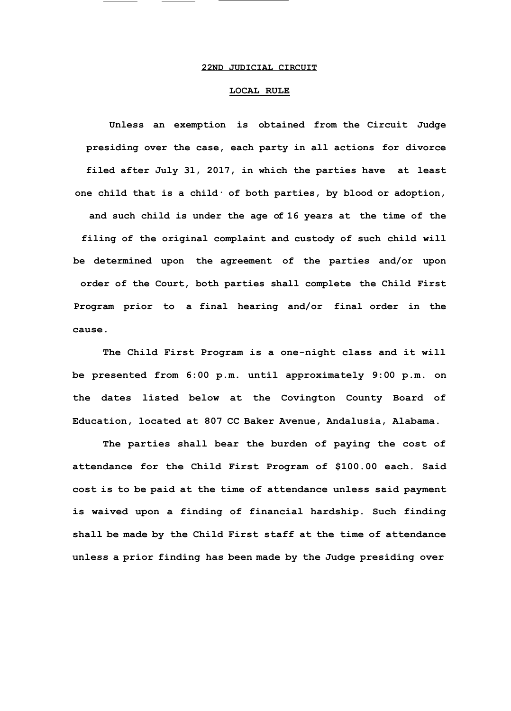## **22ND JUDICIAL CIRCUIT**

## **LOCAL RULE**

**Unless an exemption is obtained from the Circuit Judge presiding over the case, each party in all actions for divorce filed after July 31, 2017, in which the parties have at least one child that is a child· of both parties, by blood or adoption, and such child is under the age of 16 years at the time of the filing of the original complaint and custody of such child will be determined upon the agreement of the parties and/or upon order of the Court, both parties shall complete the Child First Program prior to a final hearing and/or final order in the cause.**

**The Child First Program is a one-night class and it will be presented from 6:00 p.m. until approximately 9:00 p.m. on the dates listed below at the Covington County Board of Education, located at 807 CC Baker Avenue, Andalusia, Alabama.**

**The parties shall bear the burden of paying the cost of attendance for the Child First Program of \$100.00 each. Said cost is to be paid at the time of attendance unless said payment is waived upon a finding of financial hardship. Such finding shall be made by the Child First staff at the time of attendance unless a prior finding has been made by the Judge presiding over**